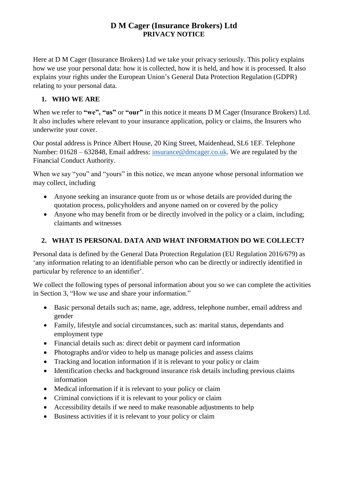## **D M Cager (Insurance Brokers) Ltd PRIVACY NOTICE**

Here at D M Cager (Insurance Brokers) Ltd we take your privacy seriously. This policy explains how we use your personal data: how it is collected, how it is held, and how it is processed. It also explains your rights under the European Union's General Data Protection Regulation (GDPR) relating to your personal data.

#### **1. WHO WE ARE**

When we refer to **"we", "us"** or **"our"** in this notice it means D M Cager (Insurance Brokers) Ltd. It also includes where relevant to your insurance application, policy or claims, the Insurers who underwrite your cover.

Our postal address is Prince Albert House, 20 King Street, Maidenhead, SL6 1EF. Telephone Number: 01628 – 632848, Email address: [insurance@dmcager.co.uk.](mailto:insurance@dmcager.co.uk) We are regulated by the Financial Conduct Authority.

When we say "you" and "yours" in this notice, we mean anyone whose personal information we may collect, including

- Anyone seeking an insurance quote from us or whose details are provided during the quotation process, policyholders and anyone named on or covered by the policy
- Anyone who may benefit from or be directly involved in the policy or a claim, including; claimants and witnesses

# **2. WHAT IS PERSONAL DATA AND WHAT INFORMATION DO WE COLLECT?**

Personal data is defined by the General Data Protection Regulation (EU Regulation 2016/679) as 'any information relating to an identifiable person who can be directly or indirectly identified in particular by reference to an identifier'.

We collect the following types of personal information about you so we can complete the activities in Section 3, "How we use and share your information."

- Basic personal details such as; name, age, address, telephone number, email address and gender
- Family, lifestyle and social circumstances, such as: marital status, dependants and employment type
- Financial details such as: direct debit or payment card information
- Photographs and/or video to help us manage policies and assess claims
- Tracking and location information if it is relevant to your policy or claim
- Identification checks and background insurance risk details including previous claims information
- Medical information if it is relevant to your policy or claim
- Criminal convictions if it is relevant to your policy or claim
- Accessibility details if we need to make reasonable adjustments to help
- Business activities if it is relevant to your policy or claim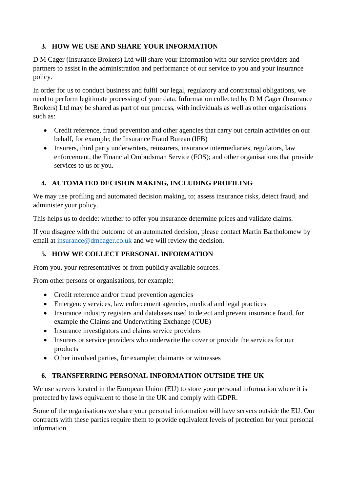## **3. HOW WE USE AND SHARE YOUR INFORMATION**

D M Cager (Insurance Brokers) Ltd will share your information with our service providers and partners to assist in the administration and performance of our service to you and your insurance policy.

In order for us to conduct business and fulfil our legal, regulatory and contractual obligations, we need to perform legitimate processing of your data. Information collected by D M Cager (Insurance Brokers) Ltd may be shared as part of our process, with individuals as well as other organisations such as:

- Credit reference, fraud prevention and other agencies that carry out certain activities on our behalf, for example; the Insurance Fraud Bureau (IFB)
- Insurers, third party underwriters, reinsurers, insurance intermediaries, regulators, law enforcement, the Financial Ombudsman Service (FOS); and other organisations that provide services to us or you.

### **4. AUTOMATED DECISION MAKING, INCLUDING PROFILING**

We may use profiling and automated decision making, to; assess insurance risks, detect fraud, and administer your policy.

This helps us to decide: whether to offer you insurance determine prices and validate claims.

If you disagree with the outcome of an automated decision, please contact Martin Bartholomew by email at [insurance@dmcager.co.uk](mailto:insurance@dmcager.co.uk) and we will review the decision.

#### **5. HOW WE COLLECT PERSONAL INFORMATION**

From you, your representatives or from publicly available sources.

From other persons or organisations, for example:

- Credit reference and/or fraud prevention agencies
- Emergency services, law enforcement agencies, medical and legal practices
- Insurance industry registers and databases used to detect and prevent insurance fraud, for example the Claims and Underwriting Exchange (CUE)
- Insurance investigators and claims service providers
- Insurers or service providers who underwrite the cover or provide the services for our products
- Other involved parties, for example; claimants or witnesses

## **6. TRANSFERRING PERSONAL INFORMATION OUTSIDE THE UK**

We use servers located in the European Union (EU) to store your personal information where it is protected by laws equivalent to those in the UK and comply with GDPR.

Some of the organisations we share your personal information will have servers outside the EU. Our contracts with these parties require them to provide equivalent levels of protection for your personal information.